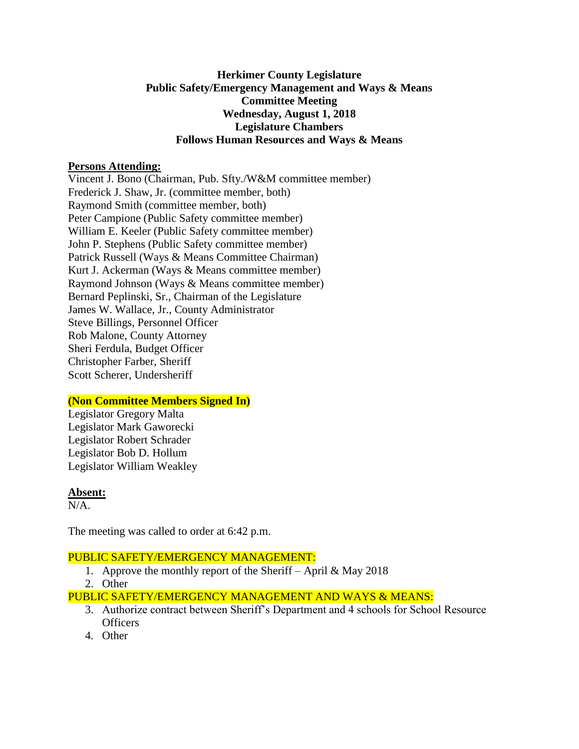## **Herkimer County Legislature Public Safety/Emergency Management and Ways & Means Committee Meeting Wednesday, August 1, 2018 Legislature Chambers Follows Human Resources and Ways & Means**

### **Persons Attending:**

Vincent J. Bono (Chairman, Pub. Sfty./W&M committee member) Frederick J. Shaw, Jr. (committee member, both) Raymond Smith (committee member, both) Peter Campione (Public Safety committee member) William E. Keeler (Public Safety committee member) John P. Stephens (Public Safety committee member) Patrick Russell (Ways & Means Committee Chairman) Kurt J. Ackerman (Ways & Means committee member) Raymond Johnson (Ways & Means committee member) Bernard Peplinski, Sr., Chairman of the Legislature James W. Wallace, Jr., County Administrator Steve Billings, Personnel Officer Rob Malone, County Attorney Sheri Ferdula, Budget Officer Christopher Farber, Sheriff Scott Scherer, Undersheriff

### **(Non Committee Members Signed In)**

Legislator Gregory Malta Legislator Mark Gaworecki Legislator Robert Schrader Legislator Bob D. Hollum Legislator William Weakley

#### **Absent:**

N/A.

The meeting was called to order at 6:42 p.m.

#### PUBLIC SAFETY/EMERGENCY MANAGEMENT:

- 1. Approve the monthly report of the Sheriff April & May 2018
- 2. Other

PUBLIC SAFETY/EMERGENCY MANAGEMENT AND WAYS & MEANS:

- 3. Authorize contract between Sheriff's Department and 4 schools for School Resource **Officers**
- 4. Other